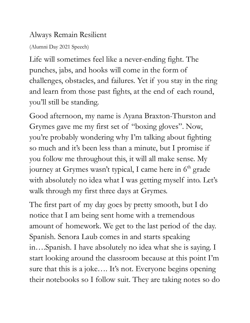## Always Remain Resilient

(Alumni Day 2021 Speech)

Life will sometimes feel like a never-ending fight. The punches, jabs, and hooks will come in the form of challenges, obstacles, and failures. Yet if you stay in the ring and learn from those past fights, at the end of each round, you 'll still be standing.

Good afternoon, my name is Ayana Braxton-Thurston and Grymes gave me my first set of "boxing gloves". Now, you 're probably wondering why I'm talking about fighting so much and it's been less than a minute, but I promise if you follow me throughout this, it will all make sense. My journey at Grymes wasn't typical, I came here in 6<sup>th</sup> grade with absolutely no idea what I was getting myself into. Let's walk through my first three days at Grymes.

The first part of my day goes by pretty smooth, but I do notice that I am being sent home with a tremendous amount of homework. We get to the last period of the day. Spanish. Senora Laub comes in and starts speaking in….Spanish. I have absolutely no idea what she is saying. I start looking around the classroom because at this point I'm sure that this is a joke…. It's not. Everyone begins opening their notebooks so I follow suit. They are taking notes so do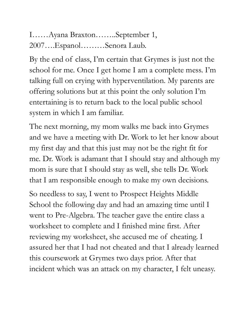I……Ayana Braxton……..September 1, 2007….Espanol………Senora Laub.

By the end of class, I'm certain that Grymes is just not the school for me. Once I get home I am a complete mess. I'm talking full on crying with hyperventilation. My parents are offering solutions but at this point the only solution I'm entertaining is to return back to the local public school system in which I am familiar.

The next morning, my mom walks me back into Grymes and we have a meeting with Dr. Work to let her know about my first day and that this just may not be the right fit for me. Dr. Work is adamant that I should stay and although my mom is sure that I should stay as well, she tells Dr. Work that I am responsible enough to make my own decisions.

So needless to say, I went to Prospect Heights Middle School the following day and had an amazing time until I went to Pre-Algebra. The teacher gave the entire class a worksheet to complete and I finished mine first. After reviewing my worksheet, she accused me of cheating. I assured her that I had not cheated and that I already learned this coursework at Grymes two days prior. After that incident which was an attack on my character, I felt uneasy.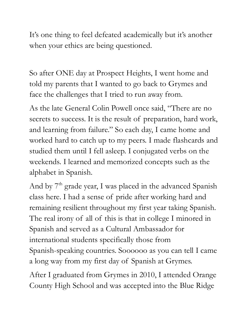It's one thing to feel defeated academically but it's another when your ethics are being questioned.

So after ONE day at Prospect Heights, I went home and told my parents that I wanted to go back to Grymes and face the challenges that I tried to run away from.

As the late General Colin Powell once said, "There are no secrets to success. It is the result of preparation, hard work, and learning from failure." So each day, I came home and worked hard to catch up to my peers. I made flashcards and studied them until I fell asleep. I conjugated verbs on the weekends. I learned and memorized concepts such as the alphabet in Spanish.

And by 7<sup>th</sup> grade year, I was placed in the advanced Spanish class here. I had a sense of pride after working hard and remaining resilient throughout my first year taking Spanish. The real irony of all of this is that in college I minored in Spanish and served as a Cultural Ambassador for international students specifically those from Spanish-speaking countries. Soooooo as you can tell I came a long way from my first day of Spanish at Grymes.

After I graduated from Grymes in 2010, I attended Orange County High School and was accepted into the Blue Ridge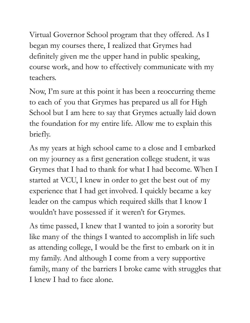Virtual Governor School program that they offered. As I began my courses there, I realized that Grymes had definitely given me the upper hand in public speaking, course work, and how to effectively communicate with my teachers.

Now, I'm sure at this point it has been a reoccurring theme to each of you that Grymes has prepared us all for High School but I am here to say that Grymes actually laid down the foundation for my entire life. Allow me to explain this briefly.

As my years at high school came to a close and I embarked on my journey as a first generation college student, it was Grymes that I had to thank for what I had become. When I started at VCU, I knew in order to get the best out of my experience that I had get involved. I quickly became a key leader on the campus which required skills that I know I wouldn't have possessed if it weren't for Grymes.

As time passed, I knew that I wanted to join a sorority but like many of the things I wanted to accomplish in life such as attending college, I would be the first to embark on it in my family. And although I come from a very supportive family, many of the barriers I broke came with struggles that I knew I had to face alone.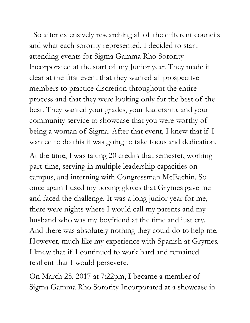So after extensively researching all of the different councils and what each sorority represented, I decided to start attending events for Sigma Gamma Rho Sorority Incorporated at the start of my Junior year. They made it clear at the first event that they wanted all prospective members to practice discretion throughout the entire process and that they were looking only for the best of the best. They wanted your grades, your leadership, and your community service to showcase that you were worthy of being a woman of Sigma. After that event, I knew that if I wanted to do this it was going to take focus and dedication.

At the time, I was taking 20 credits that semester, working part-time, serving in multiple leadership capacities on campus, and interning with Congressman McEachin. So once again I used my boxing gloves that Grymes gave me and faced the challenge. It was a long junior year for me, there were nights where I would call my parents and my husband who was my boyfriend at the time and just cry. And there was absolutely nothing they could do to help me. However, much like my experience with Spanish at Grymes, I knew that if I continued to work hard and remained resilient that I would persevere.

On March 25, 2017 at 7:22pm, I became a member of Sigma Gamma Rho Sorority Incorporated at a showcase in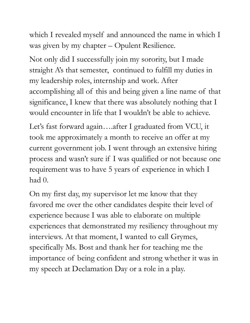which I revealed myself and announced the name in which I was given by my chapter – Opulent Resilience.

Not only did I successfully join my sorority, but I made straight A's that semester, continued to fulfill my duties in my leadership roles, internship and work. After accomplishing all of this and being given a line name of that significance, I knew that there was absolutely nothing that I would encounter in life that I wouldn't be able to achieve.

Let's fast forward again….after I graduated from VCU, it took me approximately a month to receive an offer at my current government job. I went through an extensive hiring process and wasn't sure if I was qualified or not because one requirement was to have 5 years of experience in which I had  $0$ .

On my first day, my supervisor let me know that they favored me over the other candidates despite their level of experience because I was able to elaborate on multiple experiences that demonstrated my resiliency throughout my interviews. At that moment, I wanted to call Grymes, specifically Ms. Bost and thank her for teaching me the importance of being confident and strong whether it was in my speech at Declamation Day or a role in a play.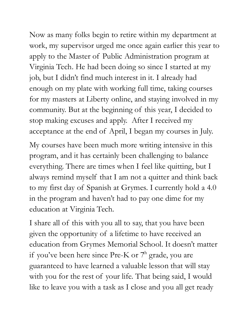Now as many folks begin to retire within my department at work, my supervisor urged me once again earlier this year to apply to the Master of Public Administration program at Virginia Tech. He had been doing so since I started at my job, but I didn't find much interest in it. I already had enough on my plate with working full time, taking courses for my masters at Liberty online, and staying involved in my community. But at the beginning of this year, I decided to stop making excuses and apply. After I received my acceptance at the end of April, I began my courses in July.

My courses have been much more writing intensive in this program, and it has certainly been challenging to balance everything. There are times when I feel like quitting, but I always remind myself that I am not a quitter and think back to my first day of Spanish at Grymes. I currently hold a 4.0 in the program and haven't had to pay one dime for my education at Virginia Tech.

I share all of this with you all to say, that you have been given the opportunity of a lifetime to have received an education from Grymes Memorial School. It doesn't matter if you've been here since Pre-K or 7<sup>th</sup> grade, you are guaranteed to have learned a valuable lesson that will stay with you for the rest of your life. That being said, I would like to leave you with a task as I close and you all get ready